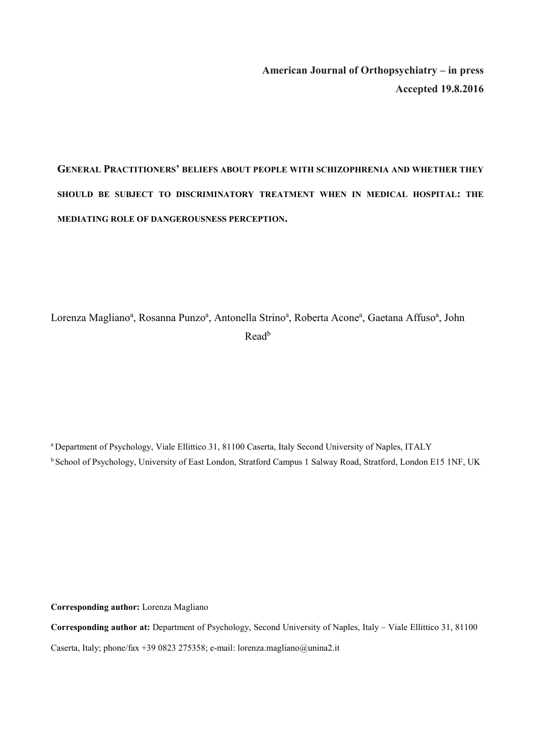**American Journal of Orthopsychiatry – in press Accepted 19.8.2016** 

# **GENERAL PRACTITIONERS' BELIEFS ABOUT PEOPLE WITH SCHIZOPHRENIA AND WHETHER THEY SHOULD BE SUBJECT TO DISCRIMINATORY TREATMENT WHEN IN MEDICAL HOSPITAL: THE MEDIATING ROLE OF DANGEROUSNESS PERCEPTION.**

Lorenza Magliano<sup>a</sup>, Rosanna Punzo<sup>a</sup>, Antonella Strino<sup>a</sup>, Roberta Acone<sup>a</sup>, Gaetana Affuso<sup>a</sup>, John Read<sup>b</sup>

a Department of Psychology, Viale Ellittico 31, 81100 Caserta, Italy Second University of Naples, ITALY <sup>b</sup> School of Psychology, University of East London, Stratford Campus 1 Salway Road, Stratford, London E15 1NF, UK

**Corresponding author:** Lorenza Magliano

**Corresponding author at:** Department of Psychology, Second University of Naples, Italy – Viale Ellittico 31, 81100 Caserta, Italy; phone/fax +39 0823 275358; e-mail: lorenza.magliano@unina2.it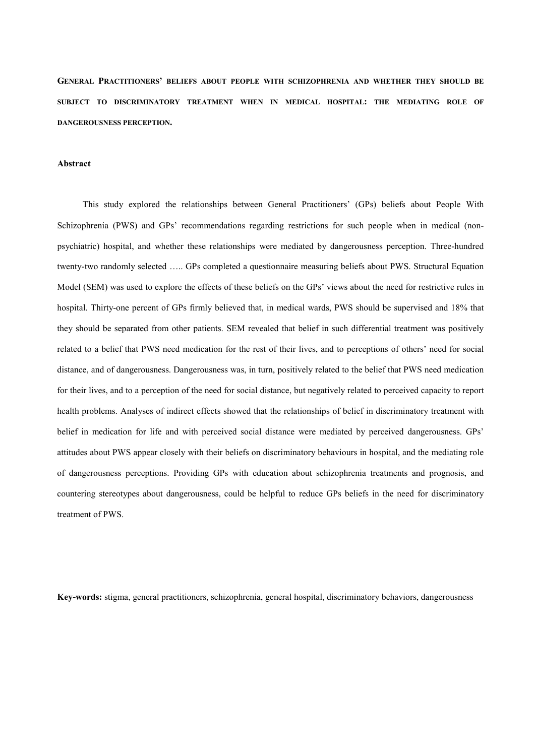**GENERAL PRACTITIONERS' BELIEFS ABOUT PEOPLE WITH SCHIZOPHRENIA AND WHETHER THEY SHOULD BE SUBJECT TO DISCRIMINATORY TREATMENT WHEN IN MEDICAL HOSPITAL: THE MEDIATING ROLE OF DANGEROUSNESS PERCEPTION.**

#### **Abstract**

This study explored the relationships between General Practitioners' (GPs) beliefs about People With Schizophrenia (PWS) and GPs' recommendations regarding restrictions for such people when in medical (nonpsychiatric) hospital, and whether these relationships were mediated by dangerousness perception. Three-hundred twenty-two randomly selected ….. GPs completed a questionnaire measuring beliefs about PWS. Structural Equation Model (SEM) was used to explore the effects of these beliefs on the GPs' views about the need for restrictive rules in hospital. Thirty-one percent of GPs firmly believed that, in medical wards, PWS should be supervised and 18% that they should be separated from other patients. SEM revealed that belief in such differential treatment was positively related to a belief that PWS need medication for the rest of their lives, and to perceptions of others' need for social distance, and of dangerousness. Dangerousness was, in turn, positively related to the belief that PWS need medication for their lives, and to a perception of the need for social distance, but negatively related to perceived capacity to report health problems. Analyses of indirect effects showed that the relationships of belief in discriminatory treatment with belief in medication for life and with perceived social distance were mediated by perceived dangerousness. GPs' attitudes about PWS appear closely with their beliefs on discriminatory behaviours in hospital, and the mediating role of dangerousness perceptions. Providing GPs with education about schizophrenia treatments and prognosis, and countering stereotypes about dangerousness, could be helpful to reduce GPs beliefs in the need for discriminatory treatment of PWS.

**Key-words:** stigma, general practitioners, schizophrenia, general hospital, discriminatory behaviors, dangerousness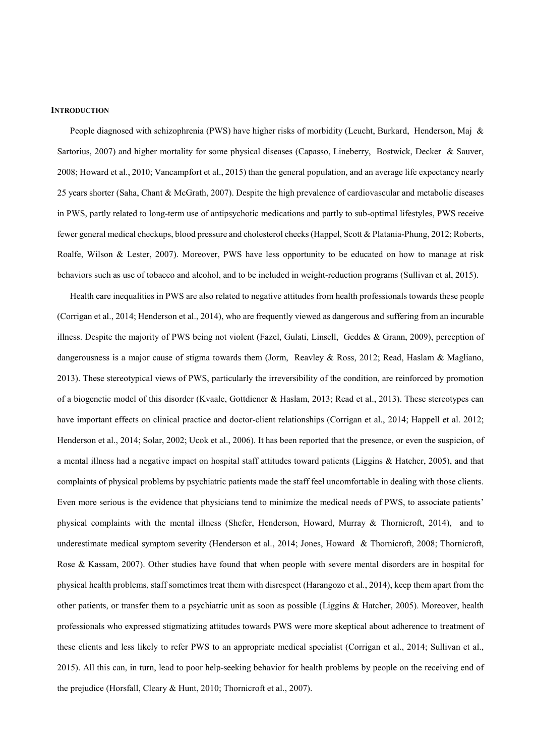#### **INTRODUCTION**

People diagnosed with schizophrenia (PWS) have higher risks of morbidity (Leucht, Burkard, Henderson, Maj & Sartorius, 2007) and higher mortality for some physical diseases (Capasso, Lineberry, Bostwick, Decker & Sauver, 2008; Howard et al., 2010; Vancampfort et al., 2015) than the general population, and an average life expectancy nearly 25 years shorter (Saha, Chant & McGrath, 2007). Despite the high prevalence of cardiovascular and metabolic diseases in PWS, partly related to long-term use of antipsychotic medications and partly to sub-optimal lifestyles, PWS receive fewer general medical checkups, blood pressure and cholesterol checks (Happel, Scott & Platania-Phung, 2012; Roberts, Roalfe, Wilson & Lester, 2007). Moreover, PWS have less opportunity to be educated on how to manage at risk behaviors such as use of tobacco and alcohol, and to be included in weight-reduction programs (Sullivan et al, 2015).

Health care inequalities in PWS are also related to negative attitudes from health professionals towards these people (Corrigan et al., 2014; Henderson et al., 2014), who are frequently viewed as dangerous and suffering from an incurable illness. Despite the majority of PWS being not violent (Fazel, Gulati, Linsell, Geddes & Grann, 2009), perception of dangerousness is a major cause of stigma towards them (Jorm, Reavley & Ross, 2012; Read, Haslam & Magliano, 2013). These stereotypical views of PWS, particularly the irreversibility of the condition, are reinforced by promotion of a biogenetic model of this disorder (Kvaale, Gottdiener & Haslam, 2013; Read et al., 2013). These stereotypes can have important effects on clinical practice and doctor-client relationships (Corrigan et al., 2014; Happell et al. 2012; Henderson et al., 2014; Solar, 2002; Ucok et al., 2006). It has been reported that the presence, or even the suspicion, of a mental illness had a negative impact on hospital staff attitudes toward patients (Liggins & Hatcher, 2005), and that complaints of physical problems by psychiatric patients made the staff feel uncomfortable in dealing with those clients. Even more serious is the evidence that physicians tend to minimize the medical needs of PWS, to associate patients' physical complaints with the mental illness (Shefer, Henderson, Howard, Murray & Thornicroft, 2014), and to underestimate medical symptom severity (Henderson et al., 2014; Jones, Howard & Thornicroft, 2008; Thornicroft, Rose & Kassam, 2007). Other studies have found that when people with severe mental disorders are in hospital for physical health problems, staff sometimes treat them with disrespect (Harangozo et al., 2014), keep them apart from the other patients, or transfer them to a psychiatric unit as soon as possible (Liggins & Hatcher, 2005). Moreover, health professionals who expressed stigmatizing attitudes towards PWS were more skeptical about adherence to treatment of these clients and less likely to refer PWS to an appropriate medical specialist (Corrigan et al., 2014; Sullivan et al., 2015). All this can, in turn, lead to poor help-seeking behavior for health problems by people on the receiving end of the prejudice (Horsfall, Cleary & Hunt, 2010; Thornicroft et al., 2007).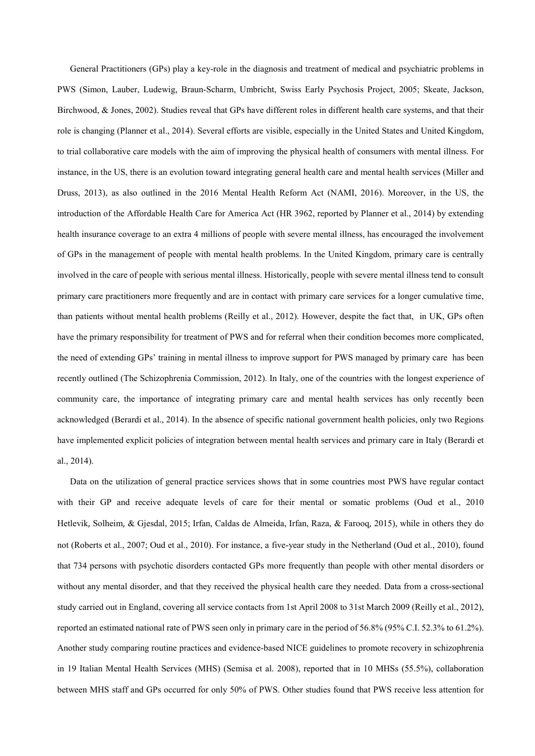General Practitioners (GPs) play a key-role in the diagnosis and treatment of medical and psychiatric problems in PWS (Simon, Lauber, Ludewig, Braun-Scharm, Umbricht, Swiss Early Psychosis Project, 2005; Skeate, Jackson, Birchwood, & Jones, 2002). Studies reveal that GPs have different roles in different health care systems, and that their role is changing (Planner et al., 2014). Several efforts are visible, especially in the United States and United Kingdom, to trial collaborative care models with the aim of improving the physical health of consumers with mental illness. For instance, in the US, there is an evolution toward integrating general health care and mental health services (Miller and Druss, 2013), as also outlined in the 2016 Mental Health Reform Act (NAMI, 2016). Moreover, in the US, the introduction of the Affordable Health Care for America Act (HR 3962, reported by Planner et al., 2014) by extending health insurance coverage to an extra 4 millions of people with severe mental illness, has encouraged the involvement of GPs in the management of people with mental health problems. In the United Kingdom, primary care is centrally involved in the care of people with serious mental illness. Historically, people with severe mental illness tend to consult primary care practitioners more frequently and are in contact with primary care services for a longer cumulative time, than patients without mental health problems (Reilly et al., 2012). However, despite the fact that, in UK, GPs often have the primary responsibility for treatment of PWS and for referral when their condition becomes more complicated, the need of extending GPs' training in mental illness to improve support for PWS managed by primary care has been recently outlined (The Schizophrenia Commission, 2012). In Italy, one of the countries with the longest experience of community care, the importance of integrating primary care and mental health services has only recently been acknowledged (Berardi et al., 2014). In the absence of specific national government health policies, only two Regions have implemented explicit policies of integration between mental health services and primary care in Italy (Berardi et al., 2014).

Data on the utilization of general practice services shows that in some countries most PWS have regular contact with their GP and receive adequate levels of care for their mental or somatic problems (Oud et al., 2010 Hetlevik, Solheim, & Gjesdal, 2015; Irfan, Caldas de Almeida, Irfan, Raza, & Farooq, 2015), while in others they do not (Roberts et al., 2007; Oud et al., 2010). For instance, a five-year study in the Netherland (Oud et al., 2010), found that 734 persons with psychotic disorders contacted GPs more frequently than people with other mental disorders or without any mental disorder, and that they received the physical health care they needed. Data from a cross-sectional study carried out in England, covering all service contacts from 1st April 2008 to 31st March 2009 (Reilly et al., 2012), reported an estimated national rate of PWS seen only in primary care in the period of 56.8% (95% C.I. 52.3% to 61.2%). Another study comparing routine practices and evidence-based NICE guidelines to promote recovery in schizophrenia in 19 Italian Mental Health Services (MHS) (Semisa et al. 2008), reported that in 10 MHSs (55.5%), collaboration between MHS staff and GPs occurred for only 50% of PWS. Other studies found that PWS receive less attention for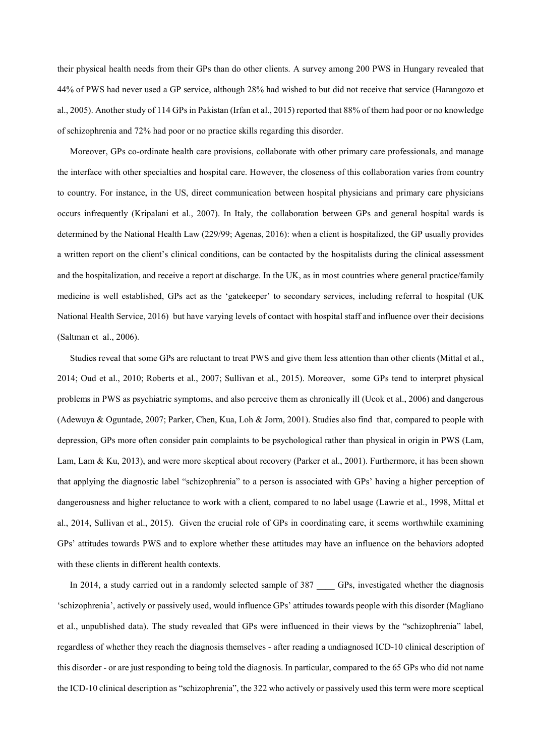their physical health needs from their GPs than do other clients. A survey among 200 PWS in Hungary revealed that 44% of PWS had never used a GP service, although 28% had wished to but did not receive that service (Harangozo et al., 2005). Another study of 114 GPs in Pakistan (Irfan et al., 2015) reported that 88% of them had poor or no knowledge of schizophrenia and 72% had poor or no practice skills regarding this disorder.

Moreover, GPs co-ordinate health care provisions, collaborate with other primary care professionals, and manage the interface with other specialties and hospital care. However, the closeness of this collaboration varies from country to country. For instance, in the US, direct communication between hospital physicians and primary care physicians occurs infrequently (Kripalani et al., 2007). In Italy, the collaboration between GPs and general hospital wards is determined by the National Health Law (229/99; Agenas, 2016): when a client is hospitalized, the GP usually provides a written report on the client's clinical conditions, can be contacted by the hospitalists during the clinical assessment and the hospitalization, and receive a report at discharge. In the UK, as in most countries where general practice/family medicine is well established, GPs act as the 'gatekeeper' to secondary services, including referral to hospital (UK National Health Service, 2016) but have varying levels of contact with hospital staff and influence over their decisions (Saltman et al., 2006).

Studies reveal that some GPs are reluctant to treat PWS and give them less attention than other clients (Mittal et al., 2014; Oud et al., 2010; Roberts et al., 2007; Sullivan et al., 2015). Moreover, some GPs tend to interpret physical problems in PWS as psychiatric symptoms, and also perceive them as chronically ill (Ucok et al., 2006) and dangerous (Adewuya & Oguntade, 2007; Parker, Chen, Kua, Loh & Jorm, 2001). Studies also find that, compared to people with depression, GPs more often consider pain complaints to be psychological rather than physical in origin in PWS (Lam, Lam, Lam & Ku, 2013), and were more skeptical about recovery (Parker et al., 2001). Furthermore, it has been shown that applying the diagnostic label "schizophrenia" to a person is associated with GPs' having a higher perception of dangerousness and higher reluctance to work with a client, compared to no label usage (Lawrie et al., 1998, Mittal et al., 2014, Sullivan et al., 2015). Given the crucial role of GPs in coordinating care, it seems worthwhile examining GPs' attitudes towards PWS and to explore whether these attitudes may have an influence on the behaviors adopted with these clients in different health contexts.

In 2014, a study carried out in a randomly selected sample of 387 GPs, investigated whether the diagnosis 'schizophrenia', actively or passively used, would influence GPs' attitudes towards people with this disorder (Magliano et al., unpublished data). The study revealed that GPs were influenced in their views by the "schizophrenia" label, regardless of whether they reach the diagnosis themselves - after reading a undiagnosed ICD-10 clinical description of this disorder - or are just responding to being told the diagnosis. In particular, compared to the 65 GPs who did not name the ICD-10 clinical description as "schizophrenia", the 322 who actively or passively used this term were more sceptical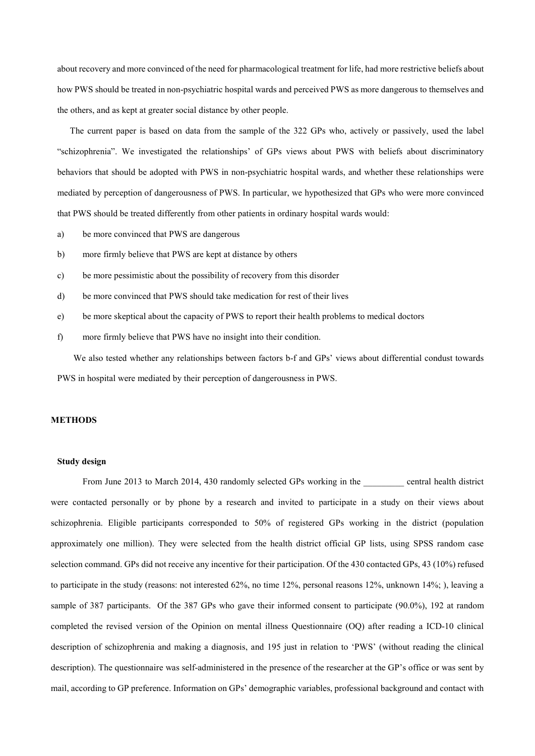about recovery and more convinced of the need for pharmacological treatment for life, had more restrictive beliefs about how PWS should be treated in non-psychiatric hospital wards and perceived PWS as more dangerous to themselves and the others, and as kept at greater social distance by other people.

The current paper is based on data from the sample of the 322 GPs who, actively or passively, used the label "schizophrenia". We investigated the relationships' of GPs views about PWS with beliefs about discriminatory behaviors that should be adopted with PWS in non-psychiatric hospital wards, and whether these relationships were mediated by perception of dangerousness of PWS. In particular, we hypothesized that GPs who were more convinced that PWS should be treated differently from other patients in ordinary hospital wards would:

- a) be more convinced that PWS are dangerous
- b) more firmly believe that PWS are kept at distance by others
- c) be more pessimistic about the possibility of recovery from this disorder
- d) be more convinced that PWS should take medication for rest of their lives
- e) be more skeptical about the capacity of PWS to report their health problems to medical doctors
- f) more firmly believe that PWS have no insight into their condition.

We also tested whether any relationships between factors b-f and GPs' views about differential condust towards PWS in hospital were mediated by their perception of dangerousness in PWS.

### **METHODS**

#### **Study design**

From June 2013 to March 2014, 430 randomly selected GPs working in the central health district were contacted personally or by phone by a research and invited to participate in a study on their views about schizophrenia. Eligible participants corresponded to 50% of registered GPs working in the district (population approximately one million). They were selected from the health district official GP lists, using SPSS random case selection command. GPs did not receive any incentive for their participation. Of the 430 contacted GPs, 43 (10%) refused to participate in the study (reasons: not interested 62%, no time 12%, personal reasons 12%, unknown 14%; ), leaving a sample of 387 participants. Of the 387 GPs who gave their informed consent to participate (90.0%), 192 at random completed the revised version of the Opinion on mental illness Questionnaire (OQ) after reading a ICD-10 clinical description of schizophrenia and making a diagnosis, and 195 just in relation to 'PWS' (without reading the clinical description). The questionnaire was self-administered in the presence of the researcher at the GP's office or was sent by mail, according to GP preference. Information on GPs' demographic variables, professional background and contact with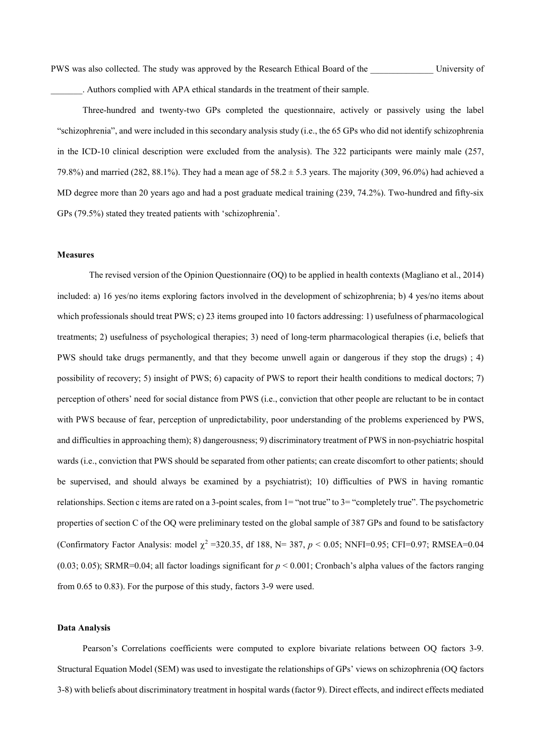PWS was also collected. The study was approved by the Research Ethical Board of the University of \_\_\_\_\_\_\_. Authors complied with APA ethical standards in the treatment of their sample.

Three-hundred and twenty-two GPs completed the questionnaire, actively or passively using the label "schizophrenia", and were included in this secondary analysis study (i.e., the 65 GPs who did not identify schizophrenia in the ICD-10 clinical description were excluded from the analysis). The 322 participants were mainly male (257, 79.8%) and married (282, 88.1%). They had a mean age of  $58.2 \pm 5.3$  years. The majority (309, 96.0%) had achieved a MD degree more than 20 years ago and had a post graduate medical training (239, 74.2%). Two-hundred and fifty-six GPs (79.5%) stated they treated patients with 'schizophrenia'.

#### **Measures**

The revised version of the Opinion Questionnaire (OQ) to be applied in health contexts (Magliano et al., 2014) included: a) 16 yes/no items exploring factors involved in the development of schizophrenia; b) 4 yes/no items about which professionals should treat PWS; c) 23 items grouped into 10 factors addressing: 1) usefulness of pharmacological treatments; 2) usefulness of psychological therapies; 3) need of long-term pharmacological therapies (i.e, beliefs that PWS should take drugs permanently, and that they become unwell again or dangerous if they stop the drugs) ; 4) possibility of recovery; 5) insight of PWS; 6) capacity of PWS to report their health conditions to medical doctors; 7) perception of others' need for social distance from PWS (i.e., conviction that other people are reluctant to be in contact with PWS because of fear, perception of unpredictability, poor understanding of the problems experienced by PWS, and difficulties in approaching them); 8) dangerousness; 9) discriminatory treatment of PWS in non-psychiatric hospital wards (i.e., conviction that PWS should be separated from other patients; can create discomfort to other patients; should be supervised, and should always be examined by a psychiatrist); 10) difficulties of PWS in having romantic relationships. Section c items are rated on a 3-point scales, from 1= "not true" to 3= "completely true". The psychometric properties of section C of the OQ were preliminary tested on the global sample of 387 GPs and found to be satisfactory (Confirmatory Factor Analysis: model  $\chi^2$  =320.35, df 188, N= 387,  $p < 0.05$ ; NNFI=0.95; CFI=0.97; RMSEA=0.04  $(0.03; 0.05)$ ; SRMR=0.04; all factor loadings significant for  $p < 0.001$ ; Cronbach's alpha values of the factors ranging from 0.65 to 0.83). For the purpose of this study, factors 3-9 were used.

## **Data Analysis**

Pearson's Correlations coefficients were computed to explore bivariate relations between OQ factors 3-9. Structural Equation Model (SEM) was used to investigate the relationships of GPs' views on schizophrenia (OQ factors 3-8) with beliefs about discriminatory treatment in hospital wards (factor 9). Direct effects, and indirect effects mediated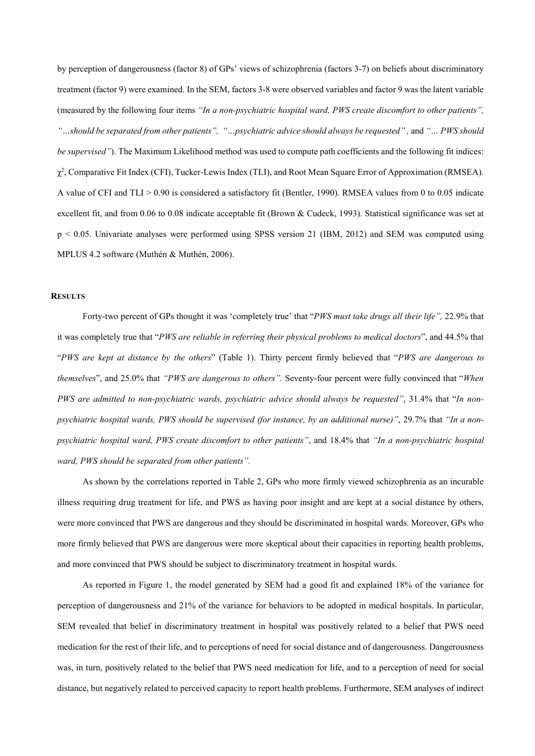by perception of dangerousness (factor 8) of GPs' views of schizophrenia (factors 3-7) on beliefs about discriminatory treatment (factor 9) were examined. In the SEM, factors 3-8 were observed variables and factor 9 was the latent variable (measured by the following four items *"In a non-psychiatric hospital ward, PWS create discomfort to other patients",*  "…should be separated from other patients", "…psychiatric advice should always be requested", and "… PWS should *be supervised"*). The Maximum Likelihood method was used to compute path coefficients and the following fit indices: χ2 , Comparative Fit Index (CFI), Tucker-Lewis Index (TLI), and Root Mean Square Error of Approximation (RMSEA). A value of CFI and TLI  $> 0.90$  is considered a satisfactory fit (Bentler, 1990). RMSEA values from 0 to 0.05 indicate excellent fit, and from 0.06 to 0.08 indicate acceptable fit (Brown & Cudeck, 1993). Statistical significance was set at p < 0.05. Univariate analyses were performed using SPSS version 21 (IBM, 2012) and SEM was computed using MPLUS 4.2 software (Muthén & Muthén, 2006).

# **RESULTS**

Forty-two percent of GPs thought it was 'completely true' that "*PWS must take drugs all their life",* 22.9% that it was completely true that "*PWS are reliable in referring their physical problems to medical doctors*", and 44.5% that "*PWS are kept at distance by the others*" (Table 1). Thirty percent firmly believed that "*PWS are dangerous to themselves*", and 25.0% that *"PWS are dangerous to others".* Seventy-four percent were fully convinced that "*When PWS are admitted to non-psychiatric wards, psychiatric advice should always be requested"*, 31.4% that "*In nonpsychiatric hospital wards, PWS should be supervised (for instance, by an additional nurse)"*, 29.7% that *"In a nonpsychiatric hospital ward, PWS create discomfort to other patients"*, and 18.4% that *"In a non-psychiatric hospital ward, PWS should be separated from other patients".* 

As shown by the correlations reported in Table 2, GPs who more firmly viewed schizophrenia as an incurable illness requiring drug treatment for life, and PWS as having poor insight and are kept at a social distance by others, were more convinced that PWS are dangerous and they should be discriminated in hospital wards. Moreover, GPs who more firmly believed that PWS are dangerous were more skeptical about their capacities in reporting health problems, and more convinced that PWS should be subject to discriminatory treatment in hospital wards.

As reported in Figure 1, the model generated by SEM had a good fit and explained 18% of the variance for perception of dangerousness and 21% of the variance for behaviors to be adopted in medical hospitals. In particular, SEM revealed that belief in discriminatory treatment in hospital was positively related to a belief that PWS need medication for the rest of their life, and to perceptions of need for social distance and of dangerousness. Dangerousness was, in turn, positively related to the belief that PWS need medication for life, and to a perception of need for social distance, but negatively related to perceived capacity to report health problems. Furthermore, SEM analyses of indirect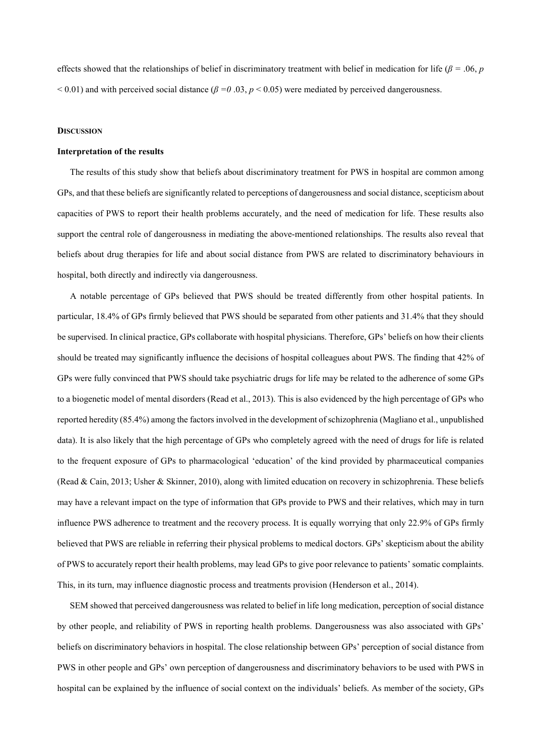effects showed that the relationships of belief in discriminatory treatment with belief in medication for life (*β =* .06, *p*   $< 0.01$ ) and with perceived social distance ( $\beta = 0.03$ ,  $p < 0.05$ ) were mediated by perceived dangerousness.

#### **DISCUSSION**

#### **Interpretation of the results**

The results of this study show that beliefs about discriminatory treatment for PWS in hospital are common among GPs, and that these beliefs are significantly related to perceptions of dangerousness and social distance, scepticism about capacities of PWS to report their health problems accurately, and the need of medication for life. These results also support the central role of dangerousness in mediating the above-mentioned relationships. The results also reveal that beliefs about drug therapies for life and about social distance from PWS are related to discriminatory behaviours in hospital, both directly and indirectly via dangerousness.

A notable percentage of GPs believed that PWS should be treated differently from other hospital patients. In particular, 18.4% of GPs firmly believed that PWS should be separated from other patients and 31.4% that they should be supervised. In clinical practice, GPs collaborate with hospital physicians. Therefore, GPs' beliefs on how their clients should be treated may significantly influence the decisions of hospital colleagues about PWS. The finding that 42% of GPs were fully convinced that PWS should take psychiatric drugs for life may be related to the adherence of some GPs to a biogenetic model of mental disorders (Read et al., 2013). This is also evidenced by the high percentage of GPs who reported heredity (85.4%) among the factors involved in the development of schizophrenia (Magliano et al., unpublished data). It is also likely that the high percentage of GPs who completely agreed with the need of drugs for life is related to the frequent exposure of GPs to pharmacological 'education' of the kind provided by pharmaceutical companies (Read & Cain, 2013; Usher & Skinner, 2010), along with limited education on recovery in schizophrenia. These beliefs may have a relevant impact on the type of information that GPs provide to PWS and their relatives, which may in turn influence PWS adherence to treatment and the recovery process. It is equally worrying that only 22.9% of GPs firmly believed that PWS are reliable in referring their physical problems to medical doctors. GPs' skepticism about the ability of PWS to accurately report their health problems, may lead GPs to give poor relevance to patients' somatic complaints. This, in its turn, may influence diagnostic process and treatments provision (Henderson et al., 2014).

SEM showed that perceived dangerousness was related to belief in life long medication, perception of social distance by other people, and reliability of PWS in reporting health problems. Dangerousness was also associated with GPs' beliefs on discriminatory behaviors in hospital. The close relationship between GPs' perception of social distance from PWS in other people and GPs' own perception of dangerousness and discriminatory behaviors to be used with PWS in hospital can be explained by the influence of social context on the individuals' beliefs. As member of the society, GPs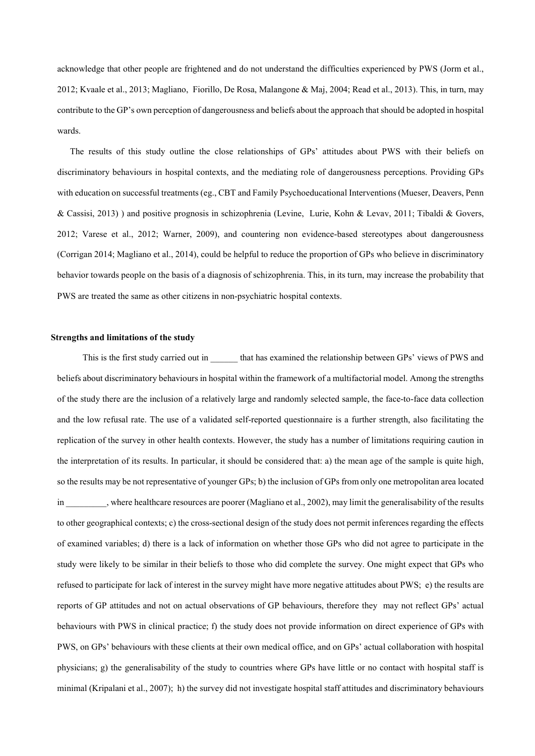acknowledge that other people are frightened and do not understand the difficulties experienced by PWS (Jorm et al., 2012; Kvaale et al., 2013; Magliano, Fiorillo, De Rosa, Malangone & Maj, 2004; Read et al., 2013). This, in turn, may contribute to the GP's own perception of dangerousness and beliefs about the approach that should be adopted in hospital wards.

The results of this study outline the close relationships of GPs' attitudes about PWS with their beliefs on discriminatory behaviours in hospital contexts, and the mediating role of dangerousness perceptions. Providing GPs with education on successful treatments (eg., CBT and Family Psychoeducational Interventions (Mueser, Deavers, Penn & Cassisi, 2013) ) and positive prognosis in schizophrenia (Levine, Lurie, Kohn & Levav, 2011; Tibaldi & Govers, 2012; Varese et al., 2012; Warner, 2009), and countering non evidence-based stereotypes about dangerousness (Corrigan 2014; Magliano et al., 2014), could be helpful to reduce the proportion of GPs who believe in discriminatory behavior towards people on the basis of a diagnosis of schizophrenia. This, in its turn, may increase the probability that PWS are treated the same as other citizens in non-psychiatric hospital contexts.

#### **Strengths and limitations of the study**

This is the first study carried out in \_\_\_\_\_\_ that has examined the relationship between GPs' views of PWS and beliefs about discriminatory behaviours in hospital within the framework of a multifactorial model. Among the strengths of the study there are the inclusion of a relatively large and randomly selected sample, the face-to-face data collection and the low refusal rate. The use of a validated self-reported questionnaire is a further strength, also facilitating the replication of the survey in other health contexts. However, the study has a number of limitations requiring caution in the interpretation of its results. In particular, it should be considered that: a) the mean age of the sample is quite high, so the results may be not representative of younger GPs; b) the inclusion of GPs from only one metropolitan area located in where healthcare resources are poorer (Magliano et al., 2002), may limit the generalisability of the results to other geographical contexts; c) the cross-sectional design of the study does not permit inferences regarding the effects of examined variables; d) there is a lack of information on whether those GPs who did not agree to participate in the study were likely to be similar in their beliefs to those who did complete the survey. One might expect that GPs who refused to participate for lack of interest in the survey might have more negative attitudes about PWS; e) the results are reports of GP attitudes and not on actual observations of GP behaviours, therefore they may not reflect GPs' actual behaviours with PWS in clinical practice; f) the study does not provide information on direct experience of GPs with PWS, on GPs' behaviours with these clients at their own medical office, and on GPs' actual collaboration with hospital physicians; g) the generalisability of the study to countries where GPs have little or no contact with hospital staff is minimal (Kripalani et al., 2007); h) the survey did not investigate hospital staff attitudes and discriminatory behaviours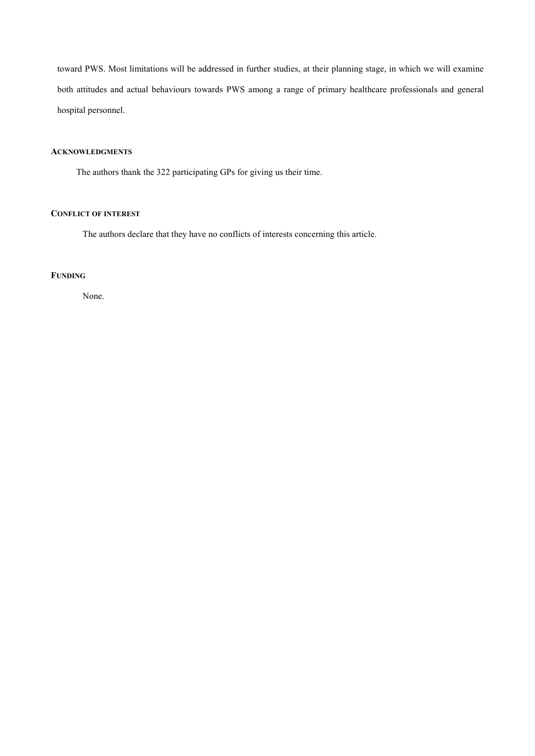toward PWS. Most limitations will be addressed in further studies, at their planning stage, in which we will examine both attitudes and actual behaviours towards PWS among a range of primary healthcare professionals and general hospital personnel.

# **ACKNOWLEDGMENTS**

The authors thank the 322 participating GPs for giving us their time.

# **CONFLICT OF INTEREST**

The authors declare that they have no conflicts of interests concerning this article.

# **FUNDING**

None.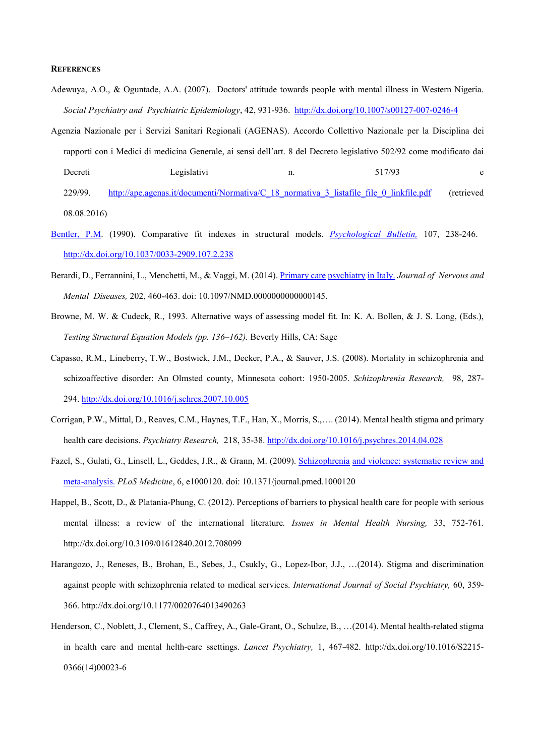#### **REFERENCES**

- Adewuya, A.O., & Oguntade, A.A. (2007). Doctors' attitude towards people with mental illness in Western Nigeria. *Social Psychiatry and Psychiatric Epidemiology*, 42, 931-936. <http://dx.doi.org/10.1007/s00127-007-0246-4>
- Agenzia Nazionale per i Servizi Sanitari Regionali (AGENAS). Accordo Collettivo Nazionale per la Disciplina dei rapporti con i Medici di medicina Generale, ai sensi dell'art. 8 del Decreto legislativo 502/92 come modificato dai Decreti Legislativi n. 517/93 e 229/99. [http://ape.agenas.it/documenti/Normativa/C\\_18\\_normativa\\_3\\_listafile\\_file\\_0\\_linkfile.pdf](http://ape.agenas.it/documenti/Normativa/C_18_normativa_3_listafile_file_0_linkfile.pdf) (retrieved 08.08.2016)
- [Bentler, P.M.](http://www.ncbi.nlm.nih.gov/pubmed/?term=Bentler%20PM%5BAuthor%5D&cauthor=true&cauthor_uid=2320703) (1990). Comparative fit indexes in structural models. *[Psychological Bulle](http://www.ncbi.nlm.nih.gov/pubmed/2320703)tin,* 107, 238-246. [http://dx.doi.org/10.1037/0033-2909.107.2.238](http://psycnet.apa.org/doi/10.1037/0033-2909.107.2.238)
- Berardi, D., Ferrannini, L., Menchetti, M., & Vaggi, M. (2014)[. Primary care](http://www.ncbi.nlm.nih.gov/pubmed/24840088) psychiatry in Italy. *Journal of Nervous and Mental Diseases,* 202, 460-463. doi: 10.1097/NMD.0000000000000145.
- Browne, M. W. & Cudeck, R., 1993. Alternative ways of assessing model fit. In: K. A. Bollen, & J. S. Long, (Eds.), *Testing Structural Equation Models (pp. 136–162).* Beverly Hills, CA: Sage
- Capasso, R.M., Lineberry, T.W., Bostwick, J.M., Decker, P.A., & Sauver, J.S. (2008). Mortality in schizophrenia and schizoaffective disorder: An Olmsted county, Minnesota cohort: 1950-2005. *Schizophrenia Research,* 98, 287- 294.<http://dx.doi.org/10.1016/j.schres.2007.10.005>
- Corrigan, P.W., Mittal, D., Reaves, C.M., Haynes, T.F., Han, X., Morris, S.,…. (2014). Mental health stigma and primary health care decisions. *Psychiatry Research,* 218, 35-38[. http://dx.doi.org/10.1016/j.psychres.2014.04.028](http://dx.doi.org/10.1016/j.psychres.2014.04.028)
- Fazel, S., Gulati, G., Linsell, L., Geddes, J.R., & Grann, M. (2009). Schizophrenia [and violence: systematic review and](http://www.ncbi.nlm.nih.gov/pubmed/19668362)  [meta-analysis.](http://www.ncbi.nlm.nih.gov/pubmed/19668362) *PLoS Medicine*, 6, e1000120. doi: 10.1371/journal.pmed.1000120
- Happel, B., Scott, D., & Platania-Phung, C. (2012). Perceptions of barriers to physical health care for people with serious mental illness: a review of the international literature*. Issues in Mental Health Nursing,* 33, 752-761. http://dx.doi.org/10.3109/01612840.2012.708099
- Harangozo, J., Reneses, B., Brohan, E., Sebes, J., Csukly, G., Lopez-Ibor, J.J., …(2014). Stigma and discrimination against people with schizophrenia related to medical services. *International Journal of Social Psychiatry,* 60, 359- 366. http://dx.doi.org/10.1177/0020764013490263
- Henderson, C., Noblett, J., Clement, S., Caffrey, A., Gale-Grant, O., Schulze, B., …(2014). Mental health-related stigma in health care and mental helth-care ssettings. *Lancet Psychiatry,* 1, 467-482. http://dx.doi.org/10.1016/S2215- 0366(14)00023-6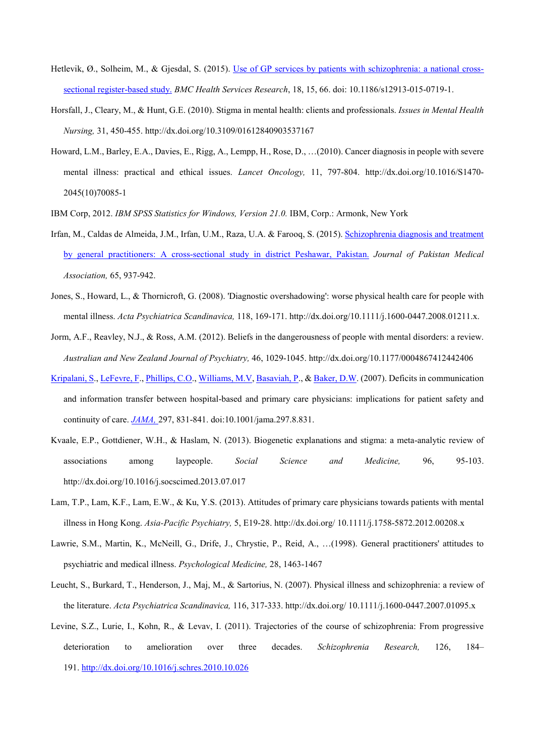- Hetlevik, Ø., Solheim, M., & Gjesdal, S. (2015). [Use of GP services by patients with schizophrenia: a national cross](http://www.ncbi.nlm.nih.gov/pubmed/25884721)[sectional register-based study.](http://www.ncbi.nlm.nih.gov/pubmed/25884721) *BMC Health Services Research*, 18, 15, 66. doi: 10.1186/s12913-015-0719-1.
- Horsfall, J., Cleary, M., & Hunt, G.E. (2010). Stigma in mental health: clients and professionals. *Issues in Mental Health Nursing,* 31, 450-455. http://dx.doi.org/10.3109/01612840903537167
- Howard, L.M., Barley, E.A., Davies, E., Rigg, A., Lempp, H., Rose, D., …(2010). Cancer diagnosis in people with severe mental illness: practical and ethical issues. *Lancet Oncology,* 11, 797-804. http://dx.doi.org/10.1016/S1470- 2045(10)70085-1
- IBM Corp, 2012. *IBM SPSS Statistics for Windows, Version 21.0.* IBM, Corp.: Armonk, New York
- Irfan, M., Caldas de Almeida, J.M., Irfan, U.M., Raza, U.A. & Farooq, S. (2015). [Schizophrenia diagnosis and treatment](http://www.ncbi.nlm.nih.gov/pubmed/26338736)  [by general practitioners: A cross-sectional study in district Peshawar, Pakistan.](http://www.ncbi.nlm.nih.gov/pubmed/26338736) *Journal of Pakistan Medical Association,* 65, 937-942.
- Jones, S., Howard, L., & Thornicroft, G. (2008). 'Diagnostic overshadowing': worse physical health care for people with mental illness. *Acta Psychiatrica Scandinavica,* 118, 169-171. http://dx.doi.org/10.1111/j.1600-0447.2008.01211.x.
- Jorm, A.F., Reavley, N.J., & Ross, A.M. (2012). Beliefs in the dangerousness of people with mental disorders: a review. *Australian and New Zealand Journal of Psychiatry,* 46, 1029-1045. http://dx.doi.org/10.1177/0004867412442406
- [Kripalani, S.](http://www.ncbi.nlm.nih.gov/pubmed/?term=Kripalani%20S%5BAuthor%5D&cauthor=true&cauthor_uid=17327525), [LeFevre, F.](http://www.ncbi.nlm.nih.gov/pubmed/?term=LeFevre%20F%5BAuthor%5D&cauthor=true&cauthor_uid=17327525), [Phillips, C.O.](http://www.ncbi.nlm.nih.gov/pubmed/?term=Phillips%20CO%5BAuthor%5D&cauthor=true&cauthor_uid=17327525), [Williams, M.V,](http://www.ncbi.nlm.nih.gov/pubmed/?term=Williams%20MV%5BAuthor%5D&cauthor=true&cauthor_uid=17327525) [Basaviah, P.,](http://www.ncbi.nlm.nih.gov/pubmed/?term=Basaviah%20P%5BAuthor%5D&cauthor=true&cauthor_uid=17327525) [& Baker, D.W.](http://www.ncbi.nlm.nih.gov/pubmed/?term=Baker%20DW%5BAuthor%5D&cauthor=true&cauthor_uid=17327525) (2007). Deficits in communication and information transfer between hospital-based and primary care physicians: implications for patient safety and continuity of care. *[JAMA,](http://www.ncbi.nlm.nih.gov/pubmed?LinkName=pubmed_pubmed_alsoviewed&from_uid=11790363)* 297, 831-841. doi:10.1001/jama.297.8.831.
- Kvaale, E.P., Gottdiener, W.H., & Haslam, N. (2013). Biogenetic explanations and stigma: a meta-analytic review of associations among laypeople. *Social Science and Medicine,* 96, 95-103. http://dx.doi.org/10.1016/j.socscimed.2013.07.017
- Lam, T.P., Lam, K.F., Lam, E.W., & Ku, Y.S. (2013). Attitudes of primary care physicians towards patients with mental illness in Hong Kong. *Asia-Pacific Psychiatry,* 5, E19-28. http://dx.doi.org/ 10.1111/j.1758-5872.2012.00208.x
- Lawrie, S.M., Martin, K., McNeill, G., Drife, J., Chrystie, P., Reid, A., …(1998). General practitioners' attitudes to psychiatric and medical illness. *Psychological Medicine,* 28, 1463-1467
- Leucht, S., Burkard, T., Henderson, J., Maj, M., & Sartorius, N. (2007). Physical illness and schizophrenia: a review of the literature. *Acta Psychiatrica Scandinavica,* 116, 317-333. http://dx.doi.org/ 10.1111/j.1600-0447.2007.01095.x
- Levine, S.Z., Lurie, I., Kohn, R., & Levav, I. (2011). Trajectories of the course of schizophrenia: From progressive deterioration to amelioration over three decades. *Schizophrenia Research,* 126, 184– 191.<http://dx.doi.org/10.1016/j.schres.2010.10.026>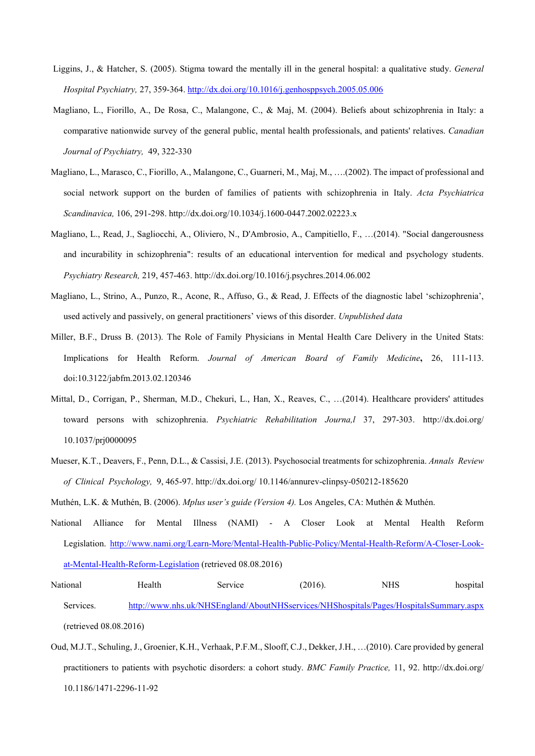- Liggins, J., & Hatcher, S. (2005). Stigma toward the mentally ill in the general hospital: a qualitative study. *General Hospital Psychiatry,* 27, 359-364.<http://dx.doi.org/10.1016/j.genhosppsych.2005.05.006>
- Magliano, L., Fiorillo, A., De Rosa, C., Malangone, C., & Maj, M. (2004). Beliefs about schizophrenia in Italy: a comparative nationwide survey of the general public, mental health professionals, and patients' relatives. *Canadian Journal of Psychiatry,* 49, 322-330
- Magliano, L., Marasco, C., Fiorillo, A., Malangone, C., Guarneri, M., Maj, M., ….(2002). The impact of professional and social network support on the burden of families of patients with schizophrenia in Italy. *Acta Psychiatrica Scandinavica,* 106, 291-298. http://dx.doi.org/10.1034/j.1600-0447.2002.02223.x
- Magliano, L., Read, J., Sagliocchi, A., Oliviero, N., D'Ambrosio, A., Campitiello, F., …(2014). "Social dangerousness and incurability in schizophrenia": results of an educational intervention for medical and psychology students. *Psychiatry Research,* 219, 457-463. http://dx.doi.org/10.1016/j.psychres.2014.06.002
- Magliano, L., Strino, A., Punzo, R., Acone, R., Affuso, G., & Read, J. Effects of the diagnostic label 'schizophrenia', used actively and passively, on general practitioners' views of this disorder. *Unpublished data*
- Miller, B.F., Druss B. (2013). The Role of Family Physicians in Mental Health Care Delivery in the United Stats: Implications for Health Reform. *Journal of American Board of Family Medicine***,** 26, 111-113. doi:10.3122/jabfm.2013.02.120346
- Mittal, D., Corrigan, P., Sherman, M.D., Chekuri, L., Han, X., Reaves, C., …(2014). Healthcare providers' attitudes toward persons with schizophrenia. *Psychiatric Rehabilitation Journa,l* 37, 297-303. http://dx.doi.org/ 10.1037/prj0000095
- Mueser, K.T., Deavers, F., Penn, D.L., & Cassisi, J.E. (2013). Psychosocial treatments for schizophrenia. *Annals Review of Clinical Psychology,* 9, 465-97. http://dx.doi.org/ 10.1146/annurev-clinpsy-050212-185620
- Muthén, L.K. & Muthén, B. (2006). *Mplus user's guide (Version 4).* Los Angeles, CA: Muthén & Muthén.
- National Alliance for Mental Illness (NAMI) A Closer Look at Mental Health Reform Legislation. [http://www.nami.org/Learn-More/Mental-Health-Public-Policy/Mental-Health-Reform/A-Closer-Look](http://www.nami.org/Learn-More/Mental-Health-Public-Policy/Mental-Health-Reform/A-Closer-Look-at-Mental-Health-Reform-Legislation)[at-Mental-Health-Reform-Legislation](http://www.nami.org/Learn-More/Mental-Health-Public-Policy/Mental-Health-Reform/A-Closer-Look-at-Mental-Health-Reform-Legislation) (retrieved 08.08.2016)
- National Health Service (2016). NHS hospital Services. <http://www.nhs.uk/NHSEngland/AboutNHSservices/NHShospitals/Pages/HospitalsSummary.aspx> (retrieved 08.08.2016)
- Oud, M.J.T., Schuling, J., Groenier, K.H., Verhaak, P.F.M., Slooff, C.J., Dekker, J.H., …(2010). Care provided by general practitioners to patients with psychotic disorders: a cohort study. *BMC Family Practice,* 11, 92. http://dx.doi.org/ 10.1186/1471-2296-11-92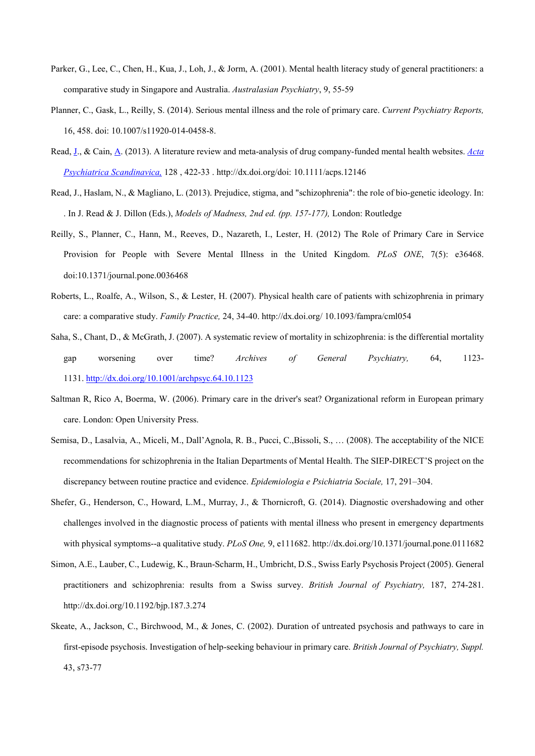- Parker, G., Lee, C., Chen, H., Kua, J., Loh, J., & Jorm, A. (2001). Mental health literacy study of general practitioners: a comparative study in Singapore and Australia. *Australasian Psychiatry*, 9, 55-59
- Planner, C., Gask, L., Reilly, S. (2014). Serious mental illness and the role of primary care. *Current Psychiatry Reports,*  16, 458. doi: 10.1007/s11920-014-0458-8.
- [Read, J.](http://www.ncbi.nlm.nih.gov/pubmed/?term=Read%20J%5BAuthor%5D&cauthor=true&cauthor_uid=23662697), [& Cain, A.](http://www.ncbi.nlm.nih.gov/pubmed/?term=Cain%20A%5BAuthor%5D&cauthor=true&cauthor_uid=23662697) (2013). A literature review and meta-analysis of drug company-funded mental health websites. *[Acta](http://www.ncbi.nlm.nih.gov/pubmed/23662697)  [Psychiatrica Scandi](http://www.ncbi.nlm.nih.gov/pubmed/23662697)navica,* 128 , 422-33 . http://dx.doi.org/doi: 10.1111/acps.12146
- Read, J., Haslam, N., & Magliano, L. (2013). Prejudice, stigma, and "schizophrenia": the role of bio-genetic ideology. In: . In J. Read & J. Dillon (Eds.), *Models of Madness, 2nd ed. (pp. 157-177),* London: Routledge
- Reilly, S., Planner, C., Hann, M., Reeves, D., Nazareth, I., Lester, H. (2012) The Role of Primary Care in Service Provision for People with Severe Mental Illness in the United Kingdom. *PLoS ONE*, 7(5): e36468. doi:10.1371/journal.pone.0036468
- Roberts, L., Roalfe, A., Wilson, S., & Lester, H. (2007). Physical health care of patients with schizophrenia in primary care: a comparative study. *Family Practice,* 24, 34-40. http://dx.doi.org/ 10.1093/fampra/cml054
- Saha, S., Chant, D., & McGrath, J. (2007). A systematic review of mortality in schizophrenia: is the differential mortality gap worsening over time? *Archives of General Psychiatry,* 64, 1123- 1131.<http://dx.doi.org/10.1001/archpsyc.64.10.1123>
- Saltman R, Rico A, Boerma, W. (2006). Primary care in the driver's seat? Organizational reform in European primary care. London: Open University Press.
- Semisa, D., Lasalvia, A., Miceli, M., Dall'Agnola, R. B., Pucci, C.,Bissoli, S., … (2008). The acceptability of the NICE recommendations for schizophrenia in the Italian Departments of Mental Health. The SIEP-DIRECT'S project on the discrepancy between routine practice and evidence. *Epidemiologia e Psichiatria Sociale,* 17, 291–304.
- Shefer, G., Henderson, C., Howard, L.M., Murray, J., & Thornicroft, G. (2014). Diagnostic overshadowing and other challenges involved in the diagnostic process of patients with mental illness who present in emergency departments with physical symptoms--a qualitative study. *PLoS One,* 9, e111682. http://dx.doi.org/10.1371/journal.pone.0111682
- Simon, A.E., Lauber, C., Ludewig, K., Braun-Scharm, H., Umbricht, D.S., Swiss Early Psychosis Project (2005). General practitioners and schizophrenia: results from a Swiss survey. *British Journal of Psychiatry,* 187, 274-281. http://dx.doi.org/10.1192/bjp.187.3.274
- Skeate, A., Jackson, C., Birchwood, M., & Jones, C. (2002). Duration of untreated psychosis and pathways to care in first-episode psychosis. Investigation of help-seeking behaviour in primary care. *British Journal of Psychiatry, Suppl.* 43, s73-77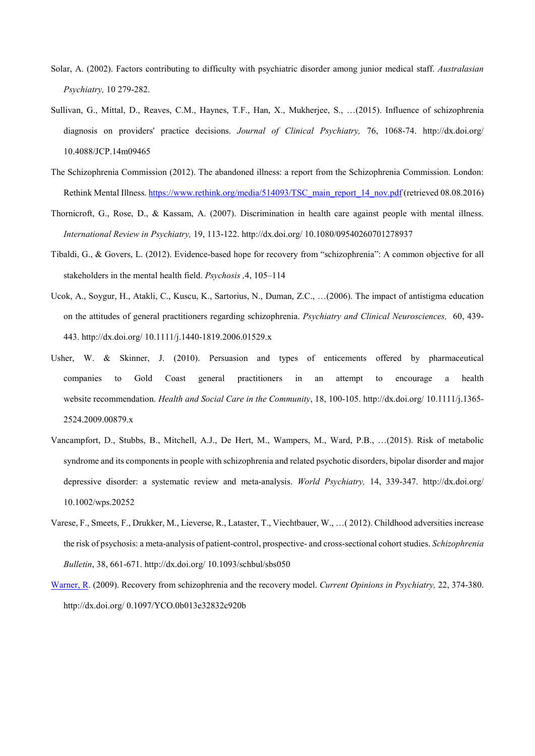- Solar, A. (2002). Factors contributing to difficulty with psychiatric disorder among junior medical staff. *Australasian Psychiatry,* 10 279-282.
- Sullivan, G., Mittal, D., Reaves, C.M., Haynes, T.F., Han, X., Mukherjee, S., …(2015). Influence of schizophrenia diagnosis on providers' practice decisions. *Journal of Clinical Psychiatry,* 76, 1068-74. http://dx.doi.org/ 10.4088/JCP.14m09465
- The Schizophrenia Commission (2012). The abandoned illness: a report from the Schizophrenia Commission. London: Rethink Mental Illness[. https://www.rethink.org/media/514093/TSC\\_main\\_report\\_14\\_nov.pdf](https://www.rethink.org/media/514093/TSC_main_report_14_nov.pdf) (retrieved 08.08.2016)
- Thornicroft, G., Rose, D., & Kassam, A. (2007). Discrimination in health care against people with mental illness. *International Review in Psychiatry,* 19, 113-122. http://dx.doi.org/ 10.1080/09540260701278937
- Tibaldi, G., & Govers, L. (2012). Evidence-based hope for recovery from "schizophrenia": A common objective for all stakeholders in the mental health field. *Psychosis ,*4, 105–114
- Ucok, A., Soygur, H., Atakli, C., Kuscu, K., Sartorius, N., Duman, Z.C., …(2006). The impact of antistigma education on the attitudes of general practitioners regarding schizophrenia. *Psychiatry and Clinical Neurosciences,* 60, 439- 443. http://dx.doi.org/ 10.1111/j.1440-1819.2006.01529.x
- Usher, W. & Skinner, J. (2010). Persuasion and types of enticements offered by pharmaceutical companies to Gold Coast general practitioners in an attempt to encourage a health website recommendation. *Health and Social Care in the Community*, 18, 100-105. http://dx.doi.org/ 10.1111/j.1365- 2524.2009.00879.x
- Vancampfort, D., Stubbs, B., Mitchell, A.J., De Hert, M., Wampers, M., Ward, P.B., …(2015). Risk of metabolic syndrome and its components in people with schizophrenia and related psychotic disorders, bipolar disorder and major depressive disorder: a systematic review and meta-analysis. *World Psychiatry,* 14, 339-347. http://dx.doi.org/ 10.1002/wps.20252
- Varese, F., Smeets, F., Drukker, M., Lieverse, R., Lataster, T., Viechtbauer, W., …( 2012). Childhood adversities increase the risk of psychosis: a meta-analysis of patient-control, prospective- and cross-sectional cohort studies. *Schizophrenia Bulletin*, 38, 661-671. http://dx.doi.org/ 10.1093/schbul/sbs050
- [Warner, R.](http://www.ncbi.nlm.nih.gov/pubmed/?term=Warner%20R%5BAuthor%5D&cauthor=true&cauthor_uid=19417668) (2009). Recovery from schizophrenia and the recovery model. *Current Opinions in Psychiatry,* 22, 374-380. http://dx.doi.org/ 0.1097/YCO.0b013e32832c920b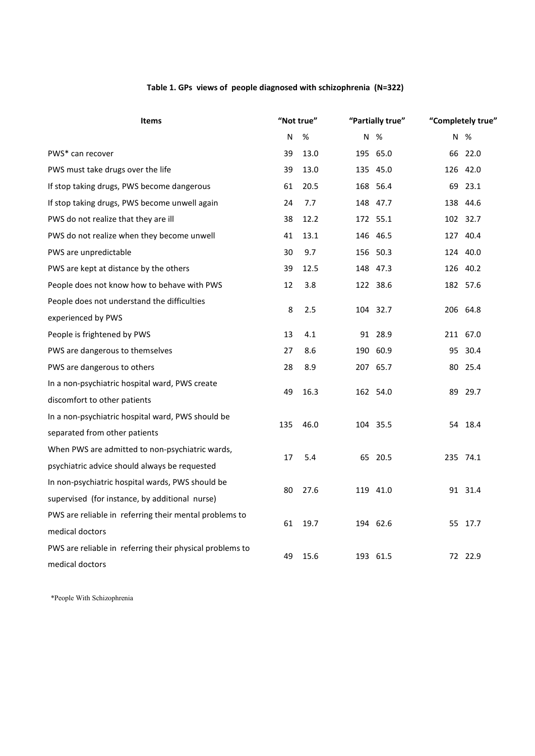# **Table 1. GPs views of people diagnosed with schizophrenia (N=322)**

| <b>Items</b>                                             | "Not true" |      | "Partially true" |          |    | "Completely true" |  |
|----------------------------------------------------------|------------|------|------------------|----------|----|-------------------|--|
|                                                          | N          | %    | N                | %        |    | N %               |  |
| PWS* can recover                                         | 39         | 13.0 |                  | 195 65.0 |    | 66 22.0           |  |
| PWS must take drugs over the life                        | 39         | 13.0 |                  | 135 45.0 |    | 126 42.0          |  |
| If stop taking drugs, PWS become dangerous               | 61         | 20.5 |                  | 168 56.4 |    | 69 23.1           |  |
| If stop taking drugs, PWS become unwell again            | 24         | 7.7  |                  | 148 47.7 |    | 138 44.6          |  |
| PWS do not realize that they are ill                     | 38         | 12.2 |                  | 172 55.1 |    | 102 32.7          |  |
| PWS do not realize when they become unwell               | 41         | 13.1 |                  | 146 46.5 |    | 127 40.4          |  |
| PWS are unpredictable                                    | 30         | 9.7  |                  | 156 50.3 |    | 124 40.0          |  |
| PWS are kept at distance by the others                   | 39         | 12.5 |                  | 148 47.3 |    | 126 40.2          |  |
| People does not know how to behave with PWS              | 12         | 3.8  |                  | 122 38.6 |    | 182 57.6          |  |
| People does not understand the difficulties              |            | 2.5  | 104 32.7         |          |    | 206 64.8          |  |
| experienced by PWS                                       | 8          |      |                  |          |    |                   |  |
| People is frightened by PWS                              | 13         | 4.1  |                  | 91 28.9  |    | 211 67.0          |  |
| PWS are dangerous to themselves                          | 27         | 8.6  |                  | 190 60.9 |    | 95 30.4           |  |
| PWS are dangerous to others                              | 28         | 8.9  | 207              | 65.7     | 80 | 25.4              |  |
| In a non-psychiatric hospital ward, PWS create           |            | 16.3 |                  | 162 54.0 |    | 89 29.7           |  |
| discomfort to other patients                             | 49         |      |                  |          |    |                   |  |
| In a non-psychiatric hospital ward, PWS should be        |            | 46.0 |                  | 104 35.5 |    | 54 18.4           |  |
| separated from other patients                            | 135        |      |                  |          |    |                   |  |
| When PWS are admitted to non-psychiatric wards,          |            | 5.4  | 65 20.5          |          |    | 235 74.1          |  |
| psychiatric advice should always be requested            | 17         |      |                  |          |    |                   |  |
| In non-psychiatric hospital wards, PWS should be         | 80         | 27.6 | 119 41.0         |          |    | 91 31.4           |  |
| supervised (for instance, by additional nurse)           |            |      |                  |          |    |                   |  |
| PWS are reliable in referring their mental problems to   | 61         | 19.7 |                  | 194 62.6 |    | 55 17.7           |  |
| medical doctors                                          |            |      |                  |          |    |                   |  |
| PWS are reliable in referring their physical problems to |            | 15.6 | 193 61.5         |          |    | 72 22.9           |  |
| medical doctors                                          | 49         |      |                  |          |    |                   |  |

\*People With Schizophrenia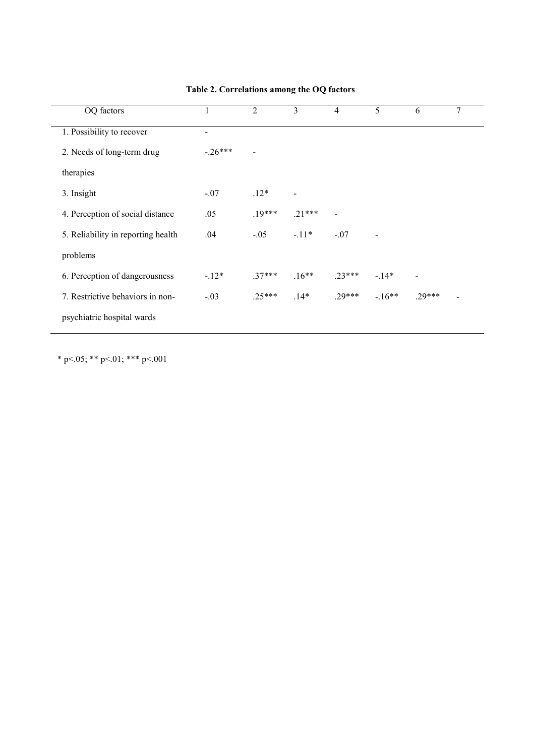| OQ factors                         |                          | $\overline{2}$ | 3        | $\overline{4}$ | 5       | 6        | 7 |
|------------------------------------|--------------------------|----------------|----------|----------------|---------|----------|---|
| 1. Possibility to recover          | $\overline{\phantom{0}}$ |                |          |                |         |          |   |
| 2. Needs of long-term drug         | $-26***$                 |                |          |                |         |          |   |
| therapies                          |                          |                |          |                |         |          |   |
| 3. Insight                         | $-.07$                   | $.12*$         |          |                |         |          |   |
| 4. Perception of social distance   | .05                      | $.19***$       | $.21***$ |                |         |          |   |
| 5. Reliability in reporting health | .04                      | $-.05$         | $-11*$   | $-.07$         |         |          |   |
| problems                           |                          |                |          |                |         |          |   |
| 6. Perception of dangerousness     | $-12*$                   | $.37***$       | $.16**$  | $.23***$       | $-14*$  |          |   |
| 7. Restrictive behaviors in non-   | $-.03$                   | $.25***$       | $.14*$   | $.29***$       | $-16**$ | $.29***$ |   |
| psychiatric hospital wards         |                          |                |          |                |         |          |   |

# **Table 2. Correlations among the OQ factors**

\* p <.05; \*\* p <.01; \*\*\* p <.001